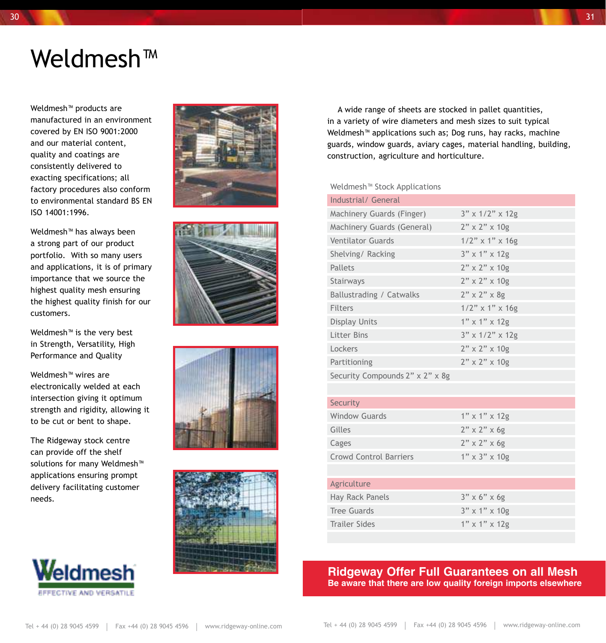# Weldmesh™

Weldmesh™ products are manufactured in an environment covered by EN ISO 9001:2000 and our material content, quality and coatings are consistently delivered to exacting specifications; all factory procedures also conform to environmental standard BS EN ISO 14001:1996.

Weldmesh™ has always been a strong part of our product portfolio. With so many users and applications, it is of primary importance that we source the highest quality mesh ensuring the highest quality finish for our customers.

Weldmesh™ is the very best in Strength, Versatility, High Performance and Quality

Weldmesh™ wires are electronically welded at each intersection giving it optimum strength and rigidity, allowing it to be cut or bent to shape.

The Ridgeway stock centre can provide off the shelf solutions for many Weldmesh<sup>™</sup> applications ensuring prompt delivery facilitating customer needs.











 A wide range of sheets are stocked in pallet quantities, in a variety of wire diameters and mesh sizes to suit typical Weldmesh™ applications such as; Dog runs, hay racks, machine guards, window guards, aviary cages, material handling, building, construction, agriculture and horticulture.

#### Weldmesh™ Stock Applications

| Industrial / General            |                           |
|---------------------------------|---------------------------|
| Machinery Guards (Finger)       | $3"$ x $1/2"$ x $12g$     |
| Machinery Guards (General)      | $2" \times 2" \times 10g$ |
| <b>Ventilator Guards</b>        | $1/2$ " x 1" x 16g        |
| Shelving/Racking                | 3" x 1" x 12g             |
| Pallets                         | $2" \times 2" \times 10g$ |
| Stairways                       | $2" \times 2" \times 10g$ |
| Ballustrading / Catwalks        | $2" \times 2" \times 89$  |
| Filters                         | $1/2$ " x 1" x 16g        |
| Display Units                   | $1"$ x $1"$ x $12g$       |
| Litter Bins                     | $3"$ x $1/2"$ x $12g$     |
| Lockers                         | $2" \times 2" \times 10g$ |
| Partitioning                    | $2" \times 2" \times 10g$ |
| Security Compounds 2" x 2" x 8g |                           |
|                                 |                           |

#### Security Window Guards 1" x 1" x 12g Gilles  $2" \times 2" \times 6g$ Cages  $2" \times 2" \times 6g$

| <b>Crowd Control Barriers</b> | $1'' \times 3'' \times 10g$ |
|-------------------------------|-----------------------------|
|                               |                             |
| Agriculture                   |                             |
| Hay Rack Panels               | $3" \times 6" \times 6g$    |
| Tree Guards                   | $3''$ x 1" x 10g            |
| Trailer Sides                 | $1'' \times 1'' \times 129$ |

#### **Ridgeway Offer Full Guarantees on all Mesh Be aware that there are low quality foreign imports elsewhere**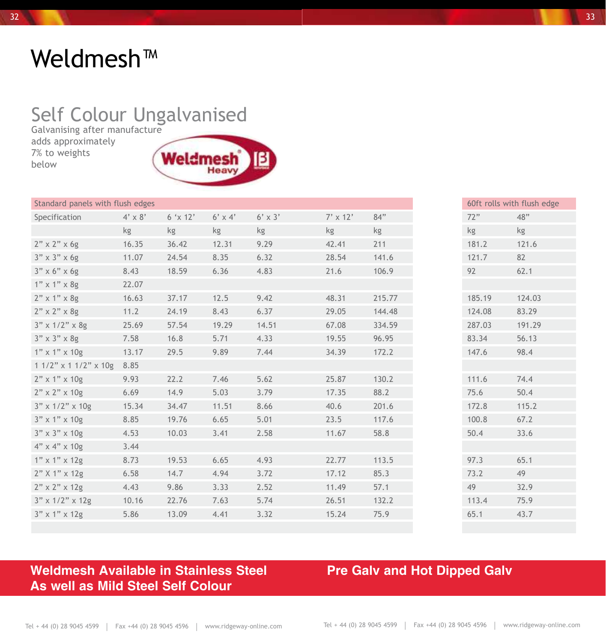# Weldmesh™

## Self Colour Ungalvanised

Galvanising after manufacture adds approximately 7% to weights below



| Standard panels with flush edges |                |          |                |                |                 |        | 60ft rolls with flush edge |        |
|----------------------------------|----------------|----------|----------------|----------------|-----------------|--------|----------------------------|--------|
| Specification                    | $4' \times 8'$ | 6 'x 12' | $6' \times 4'$ | $6' \times 3'$ | $7' \times 12'$ | 84"    | 72"                        | 48"    |
|                                  | kg             | kg       | kg             | kg             | kg              | kg     | kg                         | kg     |
| $2" \times 2" \times 6g$         | 16.35          | 36.42    | 12.31          | 9.29           | 42.41           | 211    | 181.2                      | 121.6  |
| $3" \times 3" \times 6g$         | 11.07          | 24.54    | 8.35           | 6.32           | 28.54           | 141.6  | 121.7                      | 82     |
| $3" \times 6" \times 6g$         | 8.43           | 18.59    | 6.36           | 4.83           | 21.6            | 106.9  | 92                         | 62.1   |
| $1"$ x $1"$ x $8g$               | 22.07          |          |                |                |                 |        |                            |        |
| $2"$ x 1" x 8g                   | 16.63          | 37.17    | 12.5           | 9.42           | 48.31           | 215.77 | 185.19                     | 124.03 |
| $2" \times 2" \times 89$         | 11.2           | 24.19    | 8.43           | 6.37           | 29.05           | 144.48 | 124.08                     | 83.29  |
| $3'' \times 1/2'' \times 8g$     | 25.69          | 57.54    | 19.29          | 14.51          | 67.08           | 334.59 | 287.03                     | 191.29 |
| $3" \times 3" \times 8g$         | 7.58           | 16.8     | 5.71           | 4.33           | 19.55           | 96.95  | 83.34                      | 56.13  |
| $1''$ x $1''$ x $10g$            | 13.17          | 29.5     | 9.89           | 7.44           | 34.39           | 172.2  | 147.6                      | 98.4   |
| $11/2$ " x $11/2$ " x $10g$      | 8.85           |          |                |                |                 |        |                            |        |
| $2"$ x 1" x 10g                  | 9.93           | 22.2     | 7.46           | 5.62           | 25.87           | 130.2  | 111.6                      | 74.4   |
| $2" \times 2" \times 10g$        | 6.69           | 14.9     | 5.03           | 3.79           | 17.35           | 88.2   | 75.6                       | 50.4   |
| $3'' \times 1/2'' \times 10g$    | 15.34          | 34.47    | 11.51          | 8.66           | 40.6            | 201.6  | 172.8                      | 115.2  |
| $3"$ x 1" x 10g                  | 8.85           | 19.76    | 6.65           | 5.01           | 23.5            | 117.6  | 100.8                      | 67.2   |
| $3'' \times 3'' \times 10g$      | 4.53           | 10.03    | 3.41           | 2.58           | 11.67           | 58.8   | 50.4                       | 33.6   |
| $4" \times 4" \times 10g$        | 3.44           |          |                |                |                 |        |                            |        |
| $1''$ x $1''$ x $12g$            | 8.73           | 19.53    | 6.65           | 4.93           | 22.77           | 113.5  | 97.3                       | 65.1   |
| $2"$ X 1" x 12g                  | 6.58           | 14.7     | 4.94           | 3.72           | 17.12           | 85.3   | 73.2                       | 49     |
| $2" \times 2" \times 12g$        | 4.43           | 9.86     | 3.33           | 2.52           | 11.49           | 57.1   | 49                         | 32.9   |
| $3"$ x $1/2"$ x $12g$            | 10.16          | 22.76    | 7.63           | 5.74           | 26.51           | 132.2  | 113.4                      | 75.9   |
| $3''$ x 1" x 12g                 | 5.86           | 13.09    | 4.41           | 3.32           | 15.24           | 75.9   | 65.1                       | 43.7   |
|                                  |                |          |                |                |                 |        |                            |        |

### **Weldmesh Available in Stainless Steel Pre Galv and Hot Dipped Galv As well as Mild Steel Self Colour**